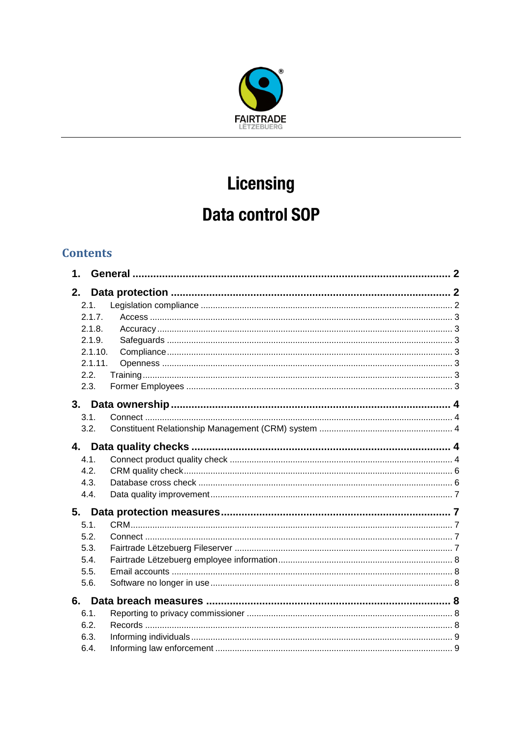

# Licensing

# **Data control SOP**

# **Contents**

| 1.           |  |  |
|--------------|--|--|
| 2.           |  |  |
| 2.1.         |  |  |
| 2.1.7.       |  |  |
| 2.1.8.       |  |  |
| 2.1.9.       |  |  |
| 2.1.10.      |  |  |
| 2.1.11.      |  |  |
| 2.2.         |  |  |
| 2.3.         |  |  |
|              |  |  |
| 3.1.         |  |  |
| 3.2.         |  |  |
|              |  |  |
| 4.1.         |  |  |
| 4.2.         |  |  |
| 4.3.         |  |  |
| 4.4.         |  |  |
| 5.           |  |  |
| 5.1.         |  |  |
| 5.2.         |  |  |
| 5.3.         |  |  |
| 5.4.         |  |  |
| 5.5.         |  |  |
| 5.6.         |  |  |
| 6.           |  |  |
|              |  |  |
| 6.1.<br>6.2. |  |  |
| 6.3.         |  |  |
| 6.4.         |  |  |
|              |  |  |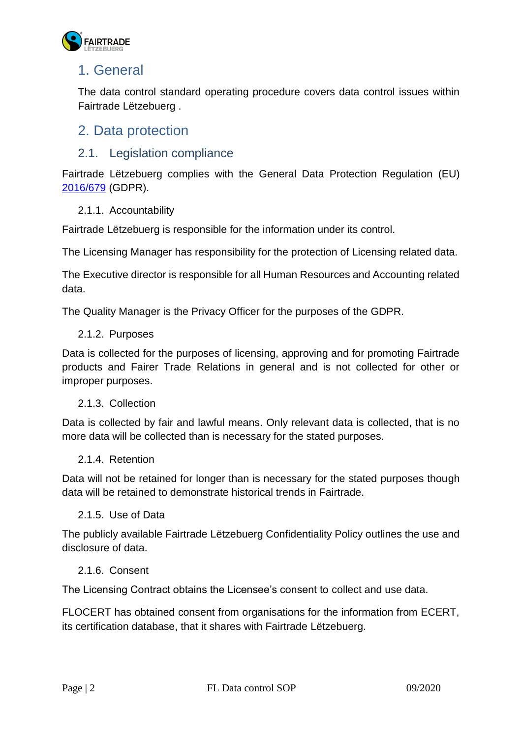

# <span id="page-1-0"></span>1. General

The data control standard operating procedure covers data control issues within Fairtrade Lëtzebuerg .

# <span id="page-1-1"></span>2. Data protection

## <span id="page-1-2"></span>2.1. Legislation compliance

Fairtrade Lëtzebuerg complies with the General Data Protection Regulation (EU) [2016/679](https://eur-lex.europa.eu/eli/reg/2016/679/oj) (GDPR).

#### 2.1.1. Accountability

Fairtrade Lëtzebuerg is responsible for the information under its control.

The Licensing Manager has responsibility for the protection of Licensing related data.

The Executive director is responsible for all Human Resources and Accounting related data.

The Quality Manager is the Privacy Officer for the purposes of the GDPR.

#### 2.1.2. Purposes

Data is collected for the purposes of licensing, approving and for promoting Fairtrade products and Fairer Trade Relations in general and is not collected for other or improper purposes.

#### 2.1.3. Collection

Data is collected by fair and lawful means. Only relevant data is collected, that is no more data will be collected than is necessary for the stated purposes.

#### 2.1.4. Retention

Data will not be retained for longer than is necessary for the stated purposes though data will be retained to demonstrate historical trends in Fairtrade.

#### 2.1.5. Use of Data

The publicly available Fairtrade Lëtzebuerg Confidentiality Policy outlines the use and disclosure of data.

#### 2.1.6. Consent

The Licensing Contract obtains the Licensee's consent to collect and use data.

FLOCERT has obtained consent from organisations for the information from ECERT, its certification database, that it shares with Fairtrade Lëtzebuerg.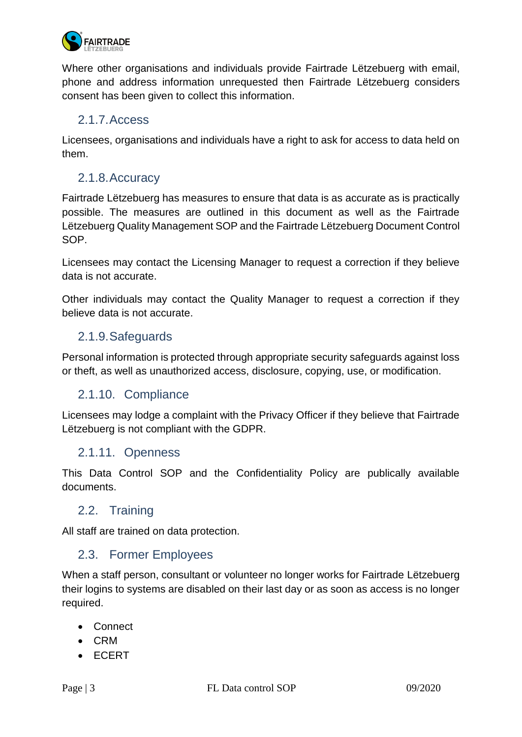

Where other organisations and individuals provide Fairtrade Lëtzebuerg with email, phone and address information unrequested then Fairtrade Lëtzebuerg considers consent has been given to collect this information.

#### <span id="page-2-0"></span>2.1.7.Access

Licensees, organisations and individuals have a right to ask for access to data held on them.

# <span id="page-2-1"></span>2.1.8.Accuracy

Fairtrade Lëtzebuerg has measures to ensure that data is as accurate as is practically possible. The measures are outlined in this document as well as the Fairtrade Lëtzebuerg Quality Management SOP and the Fairtrade Lëtzebuerg Document Control SOP.

Licensees may contact the Licensing Manager to request a correction if they believe data is not accurate.

Other individuals may contact the Quality Manager to request a correction if they believe data is not accurate.

#### <span id="page-2-2"></span>2.1.9.Safeguards

Personal information is protected through appropriate security safeguards against loss or theft, as well as unauthorized access, disclosure, copying, use, or modification.

#### <span id="page-2-3"></span>2.1.10. Compliance

Licensees may lodge a complaint with the Privacy Officer if they believe that Fairtrade Lëtzebuerg is not compliant with the GDPR.

#### <span id="page-2-4"></span>2.1.11. Openness

This Data Control SOP and the Confidentiality Policy are publically available documents.

#### <span id="page-2-5"></span>2.2. Training

All staff are trained on data protection.

#### <span id="page-2-6"></span>2.3. Former Employees

When a staff person, consultant or volunteer no longer works for Fairtrade Lëtzebuerg their logins to systems are disabled on their last day or as soon as access is no longer required.

- Connect
- CRM
- ECERT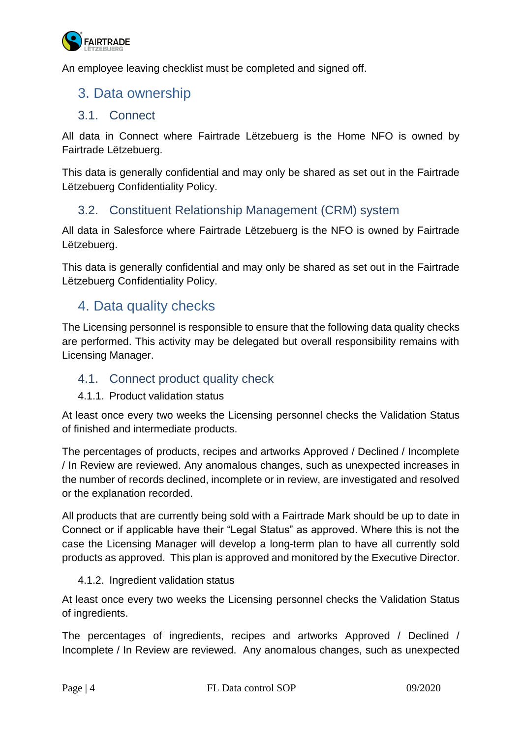

An employee leaving checklist must be completed and signed off.

# <span id="page-3-0"></span>3. Data ownership

#### <span id="page-3-1"></span>3.1. Connect

All data in Connect where Fairtrade Lëtzebuerg is the Home NFO is owned by Fairtrade Lëtzebuerg.

This data is generally confidential and may only be shared as set out in the Fairtrade Lëtzebuerg Confidentiality Policy.

#### <span id="page-3-2"></span>3.2. Constituent Relationship Management (CRM) system

All data in Salesforce where Fairtrade Lëtzebuerg is the NFO is owned by Fairtrade Lëtzebuerg.

This data is generally confidential and may only be shared as set out in the Fairtrade Lëtzebuerg Confidentiality Policy.

# <span id="page-3-3"></span>4. Data quality checks

The Licensing personnel is responsible to ensure that the following data quality checks are performed. This activity may be delegated but overall responsibility remains with Licensing Manager.

#### <span id="page-3-4"></span>4.1. Connect product quality check

#### 4.1.1. Product validation status

At least once every two weeks the Licensing personnel checks the Validation Status of finished and intermediate products.

The percentages of products, recipes and artworks Approved / Declined / Incomplete / In Review are reviewed. Any anomalous changes, such as unexpected increases in the number of records declined, incomplete or in review, are investigated and resolved or the explanation recorded.

All products that are currently being sold with a Fairtrade Mark should be up to date in Connect or if applicable have their "Legal Status" as approved. Where this is not the case the Licensing Manager will develop a long-term plan to have all currently sold products as approved. This plan is approved and monitored by the Executive Director.

#### 4.1.2. Ingredient validation status

At least once every two weeks the Licensing personnel checks the Validation Status of ingredients.

The percentages of ingredients, recipes and artworks Approved / Declined / Incomplete / In Review are reviewed. Any anomalous changes, such as unexpected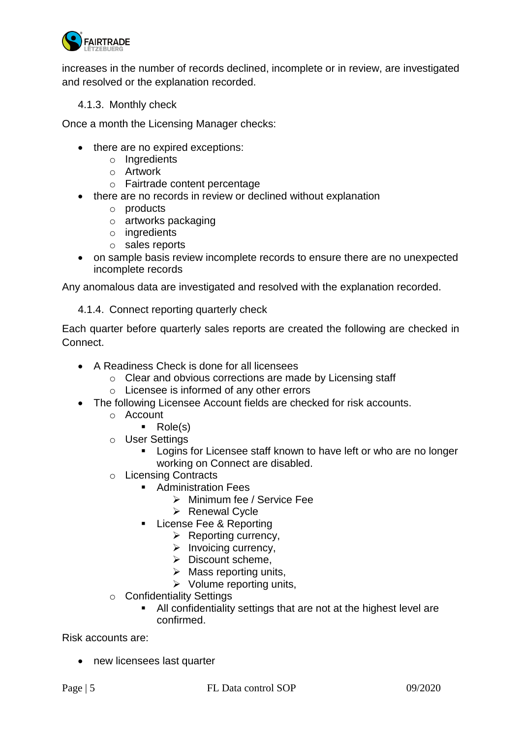

increases in the number of records declined, incomplete or in review, are investigated and resolved or the explanation recorded.

4.1.3. Monthly check

Once a month the Licensing Manager checks:

- there are no expired exceptions:
	- o Ingredients
	- o Artwork
	- o Fairtrade content percentage
- there are no records in review or declined without explanation
	- o products
	- o artworks packaging
	- o ingredients
	- o sales reports
- on sample basis review incomplete records to ensure there are no unexpected incomplete records

Any anomalous data are investigated and resolved with the explanation recorded.

4.1.4. Connect reporting quarterly check

Each quarter before quarterly sales reports are created the following are checked in Connect.

- A Readiness Check is done for all licensees
	- o Clear and obvious corrections are made by Licensing staff
	- o Licensee is informed of any other errors
- The following Licensee Account fields are checked for risk accounts.
	- o Account
		- Role(s)
	- o User Settings
		- **EXED 10 Longins for Licensee staff known to have left or who are no longer** working on Connect are disabled.
	- o Licensing Contracts
		- Administration Fees
			- ➢ Minimum fee / Service Fee
			- ➢ Renewal Cycle
		- License Fee & Reporting
			- ➢ Reporting currency,
			- ➢ Invoicing currency,
			- ➢ Discount scheme,
			- $\triangleright$  Mass reporting units,
			- $\triangleright$  Volume reporting units,
	- o Confidentiality Settings
		- All confidentiality settings that are not at the highest level are confirmed.

Risk accounts are:

• new licensees last quarter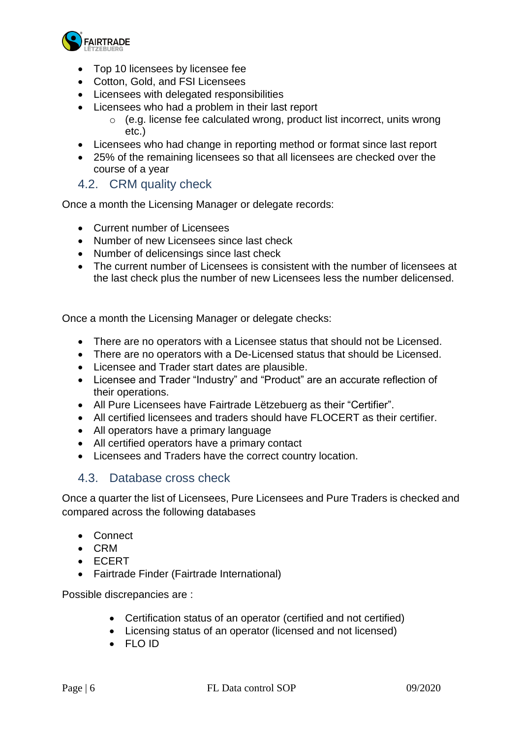

- Top 10 licensees by licensee fee
- Cotton, Gold, and FSI Licensees
- Licensees with delegated responsibilities
- Licensees who had a problem in their last report
	- $\circ$  (e.g. license fee calculated wrong, product list incorrect, units wrong etc.)
- Licensees who had change in reporting method or format since last report
- 25% of the remaining licensees so that all licensees are checked over the course of a year

<span id="page-5-0"></span>4.2. CRM quality check

Once a month the Licensing Manager or delegate records:

- Current number of Licensees
- Number of new Licensees since last check
- Number of delicensings since last check
- The current number of Licensees is consistent with the number of licensees at the last check plus the number of new Licensees less the number delicensed.

Once a month the Licensing Manager or delegate checks:

- There are no operators with a Licensee status that should not be Licensed.
- There are no operators with a De-Licensed status that should be Licensed.
- Licensee and Trader start dates are plausible.
- Licensee and Trader "Industry" and "Product" are an accurate reflection of their operations.
- All Pure Licensees have Fairtrade Lëtzebuerg as their "Certifier".
- All certified licensees and traders should have FLOCERT as their certifier.
- All operators have a primary language
- All certified operators have a primary contact
- Licensees and Traders have the correct country location.

#### <span id="page-5-1"></span>4.3. Database cross check

Once a quarter the list of Licensees, Pure Licensees and Pure Traders is checked and compared across the following databases

- Connect
- CRM
- ECERT
- Fairtrade Finder (Fairtrade International)

Possible discrepancies are :

- Certification status of an operator (certified and not certified)
- Licensing status of an operator (licensed and not licensed)
- FLO ID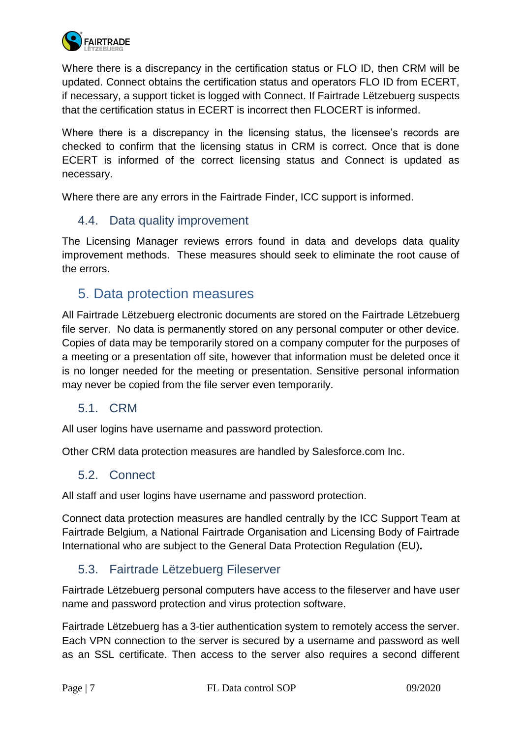

Where there is a discrepancy in the certification status or FLO ID, then CRM will be updated. Connect obtains the certification status and operators FLO ID from ECERT, if necessary, a support ticket is logged with Connect. If Fairtrade Lëtzebuerg suspects that the certification status in ECERT is incorrect then FLOCERT is informed.

Where there is a discrepancy in the licensing status, the licensee's records are checked to confirm that the licensing status in CRM is correct. Once that is done ECERT is informed of the correct licensing status and Connect is updated as necessary.

Where there are any errors in the Fairtrade Finder, ICC support is informed.

#### <span id="page-6-0"></span>4.4. Data quality improvement

The Licensing Manager reviews errors found in data and develops data quality improvement methods. These measures should seek to eliminate the root cause of the errors.

# <span id="page-6-1"></span>5. Data protection measures

All Fairtrade Lëtzebuerg electronic documents are stored on the Fairtrade Lëtzebuerg file server. No data is permanently stored on any personal computer or other device. Copies of data may be temporarily stored on a company computer for the purposes of a meeting or a presentation off site, however that information must be deleted once it is no longer needed for the meeting or presentation. Sensitive personal information may never be copied from the file server even temporarily.

#### <span id="page-6-2"></span>5.1. CRM

All user logins have username and password protection.

Other CRM data protection measures are handled by Salesforce.com Inc.

#### <span id="page-6-3"></span>5.2. Connect

All staff and user logins have username and password protection.

Connect data protection measures are handled centrally by the ICC Support Team at Fairtrade Belgium, a National Fairtrade Organisation and Licensing Body of Fairtrade International who are subject to the General Data Protection Regulation (EU)**.**

#### <span id="page-6-4"></span>5.3. Fairtrade Lëtzebuerg Fileserver

Fairtrade Lëtzebuerg personal computers have access to the fileserver and have user name and password protection and virus protection software.

Fairtrade Lëtzebuerg has a 3-tier authentication system to remotely access the server. Each VPN connection to the server is secured by a username and password as well as an SSL certificate. Then access to the server also requires a second different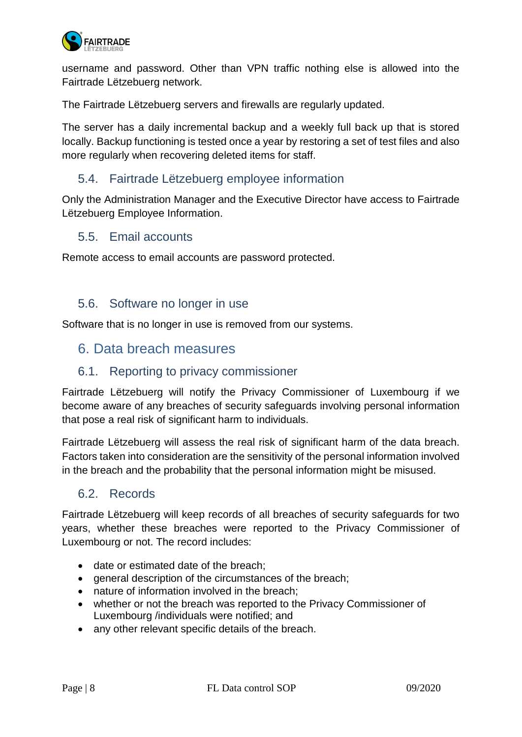

username and password. Other than VPN traffic nothing else is allowed into the Fairtrade Lëtzebuerg network.

The Fairtrade Lëtzebuerg servers and firewalls are regularly updated.

The server has a daily incremental backup and a weekly full back up that is stored locally. Backup functioning is tested once a year by restoring a set of test files and also more regularly when recovering deleted items for staff.

#### <span id="page-7-0"></span>5.4. Fairtrade Lëtzebuerg employee information

Only the Administration Manager and the Executive Director have access to Fairtrade Lëtzebuerg Employee Information.

#### <span id="page-7-1"></span>5.5. Email accounts

Remote access to email accounts are password protected.

#### <span id="page-7-2"></span>5.6. Software no longer in use

Software that is no longer in use is removed from our systems.

# <span id="page-7-3"></span>6. Data breach measures

#### <span id="page-7-4"></span>6.1. Reporting to privacy commissioner

Fairtrade Lëtzebuerg will notify the Privacy Commissioner of Luxembourg if we become aware of any breaches of security safeguards involving personal information that pose a real risk of significant harm to individuals.

Fairtrade Lëtzebuerg will assess the real risk of significant harm of the data breach. Factors taken into consideration are the sensitivity of the personal information involved in the breach and the probability that the personal information might be misused.

#### <span id="page-7-5"></span>6.2. Records

Fairtrade Lëtzebuerg will keep records of all breaches of security safeguards for two years, whether these breaches were reported to the Privacy Commissioner of Luxembourg or not. The record includes:

- date or estimated date of the breach;
- general description of the circumstances of the breach;
- nature of information involved in the breach;
- whether or not the breach was reported to the Privacy Commissioner of Luxembourg /individuals were notified; and
- any other relevant specific details of the breach.